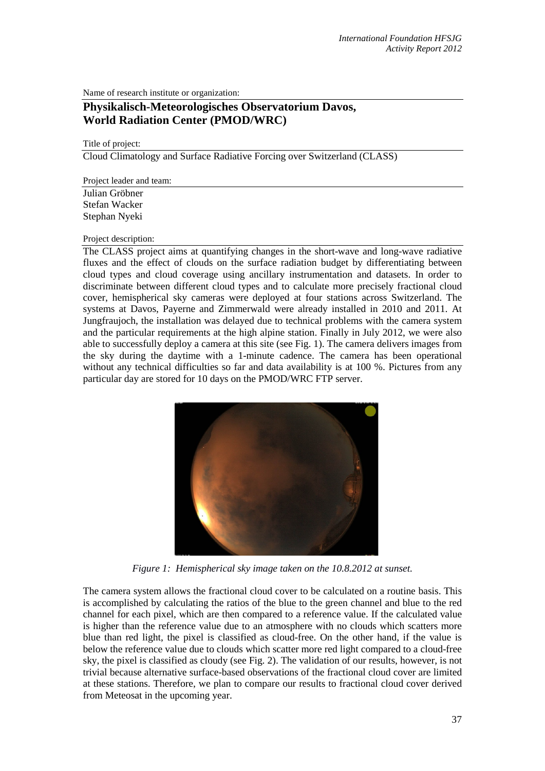Name of research institute or organization:

## **Physikalisch-Meteorologisches Observatorium Davos, World Radiation Center (PMOD/WRC)**

## Title of project:

Cloud Climatology and Surface Radiative Forcing over Switzerland (CLASS)

Project leader and team:

Julian Gröbner Stefan Wacker Stephan Nyeki

## Project description:

The CLASS project aims at quantifying changes in the short-wave and long-wave radiative fluxes and the effect of clouds on the surface radiation budget by differentiating between cloud types and cloud coverage using ancillary instrumentation and datasets. In order to discriminate between different cloud types and to calculate more precisely fractional cloud cover, hemispherical sky cameras were deployed at four stations across Switzerland. The systems at Davos, Payerne and Zimmerwald were already installed in 2010 and 2011. At Jungfraujoch, the installation was delayed due to technical problems with the camera system and the particular requirements at the high alpine station. Finally in July 2012, we were also able to successfully deploy a camera at this site (see Fig. 1). The camera delivers images from the sky during the daytime with a 1-minute cadence. The camera has been operational without any technical difficulties so far and data availability is at 100 %. Pictures from any particular day are stored for 10 days on the PMOD/WRC FTP server.



*Figure 1: Hemispherical sky image taken on the 10.8.2012 at sunset.*

The camera system allows the fractional cloud cover to be calculated on a routine basis. This is accomplished by calculating the ratios of the blue to the green channel and blue to the red channel for each pixel, which are then compared to a reference value. If the calculated value is higher than the reference value due to an atmosphere with no clouds which scatters more blue than red light, the pixel is classified as cloud-free. On the other hand, if the value is below the reference value due to clouds which scatter more red light compared to a cloud-free sky, the pixel is classified as cloudy (see Fig. 2). The validation of our results, however, is not trivial because alternative surface-based observations of the fractional cloud cover are limited at these stations. Therefore, we plan to compare our results to fractional cloud cover derived from Meteosat in the upcoming year.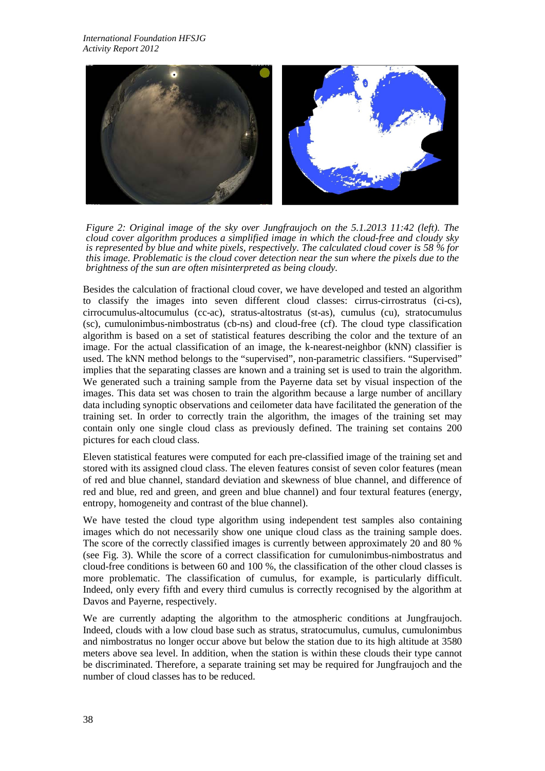

*Figure 2: Original image of the sky over Jungfraujoch on the 5.1.2013 11:42 (left). The cloud cover algorithm produces a simplified image in which the cloud-free and cloudy sky is represented by blue and white pixels, respectively. The calculated cloud cover is 58 % for this image. Problematic is the cloud cover detection near the sun where the pixels due to the brightness of the sun are often misinterpreted as being cloudy.*

Besides the calculation of fractional cloud cover, we have developed and tested an algorithm to classify the images into seven different cloud classes: cirrus-cirrostratus (ci-cs), cirrocumulus-altocumulus (cc-ac), stratus-altostratus (st-as), cumulus (cu), stratocumulus (sc), cumulonimbus-nimbostratus (cb-ns) and cloud-free (cf). The cloud type classification algorithm is based on a set of statistical features describing the color and the texture of an image. For the actual classification of an image, the k-nearest-neighbor (kNN) classifier is used. The kNN method belongs to the "supervised", non-parametric classifiers. "Supervised" implies that the separating classes are known and a training set is used to train the algorithm. We generated such a training sample from the Payerne data set by visual inspection of the images. This data set was chosen to train the algorithm because a large number of ancillary data including synoptic observations and ceilometer data have facilitated the generation of the training set. In order to correctly train the algorithm, the images of the training set may contain only one single cloud class as previously defined. The training set contains 200 pictures for each cloud class.

Eleven statistical features were computed for each pre-classified image of the training set and stored with its assigned cloud class. The eleven features consist of seven color features (mean of red and blue channel, standard deviation and skewness of blue channel, and difference of red and blue, red and green, and green and blue channel) and four textural features (energy, entropy, homogeneity and contrast of the blue channel).

We have tested the cloud type algorithm using independent test samples also containing images which do not necessarily show one unique cloud class as the training sample does. The score of the correctly classified images is currently between approximately 20 and 80 % (see Fig. 3). While the score of a correct classification for cumulonimbus-nimbostratus and cloud-free conditions is between 60 and 100 %, the classification of the other cloud classes is more problematic. The classification of cumulus, for example, is particularly difficult. Indeed, only every fifth and every third cumulus is correctly recognised by the algorithm at Davos and Payerne, respectively.

We are currently adapting the algorithm to the atmospheric conditions at Jungfraujoch. Indeed, clouds with a low cloud base such as stratus, stratocumulus, cumulus, cumulonimbus and nimbostratus no longer occur above but below the station due to its high altitude at 3580 meters above sea level. In addition, when the station is within these clouds their type cannot be discriminated. Therefore, a separate training set may be required for Jungfraujoch and the number of cloud classes has to be reduced.